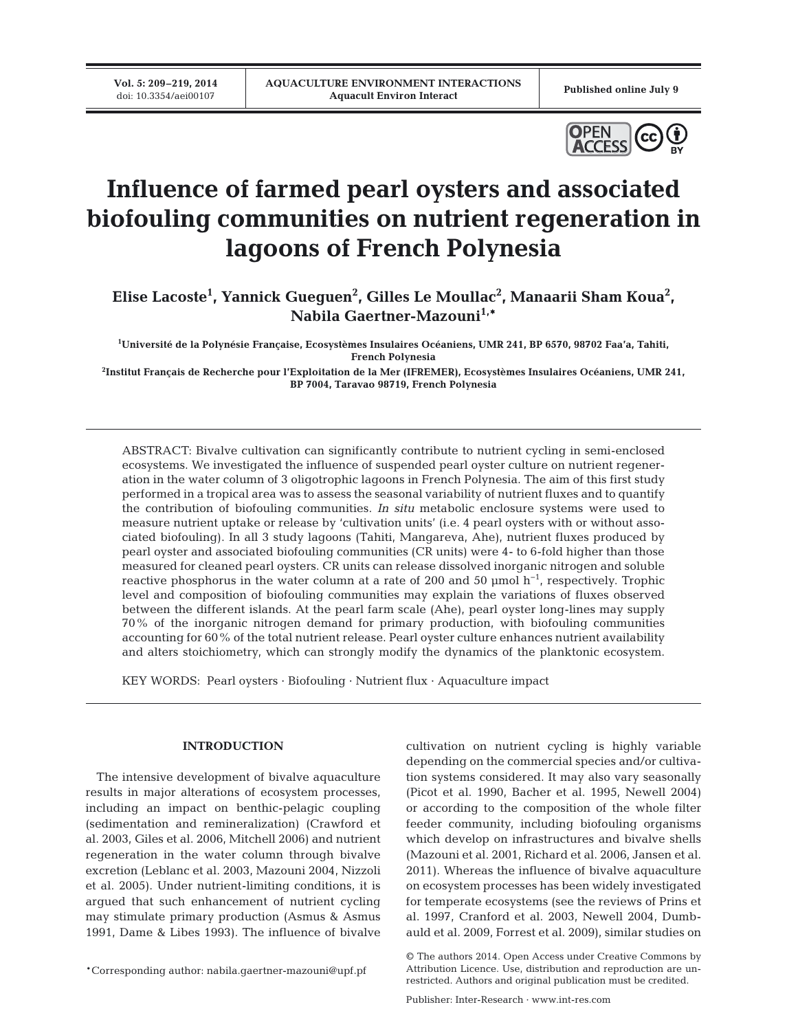**Vol. 5: 209–219, 2014**<br>doi: 10.3354/aei00107



# **Influence of farmed pearl oysters and associated biofouling communities on nutrient regeneration in lagoons of French Polynesia**

Elise Lacoste<sup>1</sup>, Yannick Gueguen<sup>2</sup>, Gilles Le Moullac<sup>2</sup>, Manaarii Sham Koua<sup>2</sup>, **Nabila Gaertner-Mazouni1,\***

**1 Université de la Polynésie Française, Ecosystèmes Insulaires Océaniens, UMR 241, BP 6570, 98702 Faa'a, Tahiti, French Polynesia**

**2 Institut Français de Recherche pour l'Exploitation de la Mer (IFREMER), Ecosystèmes Insulaires Océaniens, UMR 241, BP 7004, Taravao 98719, French Polynesia**

ABSTRACT: Bivalve cultivation can significantly contribute to nutrient cycling in semi-enclosed ecosystems. We investigated the influence of suspended pearl oyster culture on nutrient regeneration in the water column of 3 oligotrophic lagoons in French Polynesia. The aim of this first study performed in a tropical area was to assess the seasonal variability of nutrient fluxes and to quantify the contribution of biofouling communities. *In situ* metabolic enclosure systems were used to measure nutrient uptake or release by 'cultivation units' (i.e. 4 pearl oysters with or without associated biofouling). In all 3 study lagoons (Tahiti, Mangareva, Ahe), nutrient fluxes produced by pearl oyster and associated biofouling communities (CR units) were 4- to 6-fold higher than those measured for cleaned pearl oysters. CR units can release dissolved inorganic nitrogen and soluble reactive phosphorus in the water column at a rate of 200 and 50 µmol h−1, respectively. Trophic level and composition of biofouling communities may explain the variations of fluxes observed between the different islands. At the pearl farm scale (Ahe), pearl oyster long-lines may supply 70% of the inorganic nitrogen demand for primary production, with biofouling communities accounting for 60% of the total nutrient release. Pearl oyster culture enhances nutrient availability and alters stoichiometry, which can strongly modify the dynamics of the planktonic ecosystem.

KEY WORDS: Pearl oysters · Biofouling · Nutrient flux · Aquaculture impact

## **INTRODUCTION**

The intensive development of bivalve aquaculture results in major alterations of ecosystem processes, including an impact on benthic-pelagic coupling (sedimentation and remineralization) (Crawford et al. 2003, Giles et al. 2006, Mitchell 2006) and nutrient regeneration in the water column through bivalve excretion (Leblanc et al. 2003, Mazouni 2004, Nizzoli et al. 2005). Under nutrient-limiting conditions, it is argued that such enhancement of nutrient cycling may stimulate primary production (Asmus & Asmus 1991, Dame & Libes 1993). The influence of bivalve

\*Corresponding author: nabila.gaertner-mazouni@upf.pf

cultivation on nutrient cycling is highly variable depending on the commercial species and/or cultivation systems considered. It may also vary seasonally (Picot et al. 1990, Bacher et al. 1995, Newell 2004) or according to the composition of the whole filter feeder community, including biofouling organisms which develop on infrastructures and bivalve shells (Mazouni et al. 2001, Richard et al. 2006, Jansen et al. 2011). Whereas the influence of bivalve aquaculture on ecosystem processes has been widely investigated for temperate ecosystems (see the reviews of Prins et al. 1997, Cranford et al. 2003, Newell 2004, Dumbauld et al. 2009, Forrest et al. 2009), similar studies on

<sup>©</sup> The authors 2014. Open Access under Creative Commons by Attribution Licence. Use, distribution and reproduction are unrestricted. Authors and original publication must be credited.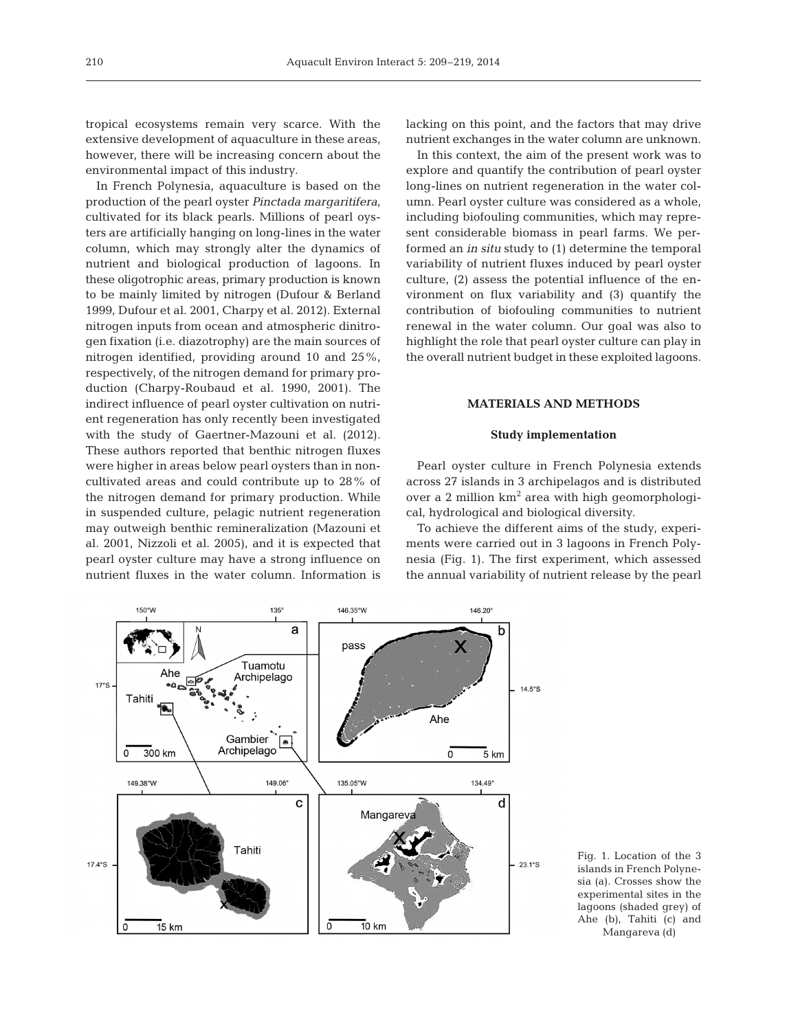tropical ecosystems remain very scarce. With the extensive development of aquaculture in these areas, however, there will be increasing concern about the environmental impact of this industry.

In French Polynesia, aquaculture is based on the production of the pearl oyster *Pinctada margaritifera*, cultivated for its black pearls. Millions of pearl oysters are artificially hanging on long-lines in the water column, which may strongly alter the dynamics of nutrient and biological production of lagoons. In these oligotrophic areas, primary production is known to be mainly limited by nitrogen (Dufour & Berland 1999, Dufour et al. 2001, Charpy et al. 2012). External nitrogen inputs from ocean and atmospheric dinitrogen fixation (i.e. diazotrophy) are the main sources of nitrogen identified, providing around 10 and 25%, respectively, of the nitrogen demand for primary production (Charpy-Roubaud et al. 1990, 2001). The indirect influence of pearl oyster cultivation on nutrient regeneration has only recently been investigated with the study of Gaertner-Mazouni et al. (2012). These authors reported that benthic nitrogen fluxes were higher in areas below pearl oysters than in noncultivated areas and could contribute up to 28% of the nitrogen demand for primary production. While in suspended culture, pelagic nutrient regeneration may outweigh benthic remineralization (Mazouni et al. 2001, Nizzoli et al. 2005), and it is expected that pearl oyster culture may have a strong influence on nutrient fluxes in the water column. Information is

lacking on this point, and the factors that may drive nutrient exchanges in the water column are unknown.

In this context, the aim of the present work was to explore and quantify the contribution of pearl oyster long-lines on nutrient regeneration in the water column. Pearl oyster culture was considered as a whole, including biofouling communities, which may represent considerable biomass in pearl farms. We performed an *in situ* study to (1) determine the temporal variability of nutrient fluxes induced by pearl oyster culture,  $(2)$  assess the potential influence of the environment on flux variability and (3) quantify the contribution of biofouling communities to nutrient renewal in the water column. Our goal was also to highlight the role that pearl oyster culture can play in the overall nutrient budget in these exploited lagoons.

#### **MATERIALS AND METHODS**

## **Study implementation**

Pearl oyster culture in French Polynesia extends across 27 islands in 3 archipelagos and is distributed over a 2 million km<sup>2</sup> area with high geomorphological, hydrological and biological diversity.

To achieve the different aims of the study, experiments were carried out in 3 lagoons in French Polynesia (Fig. 1). The first experiment, which assessed the annual variability of nutrient release by the pearl



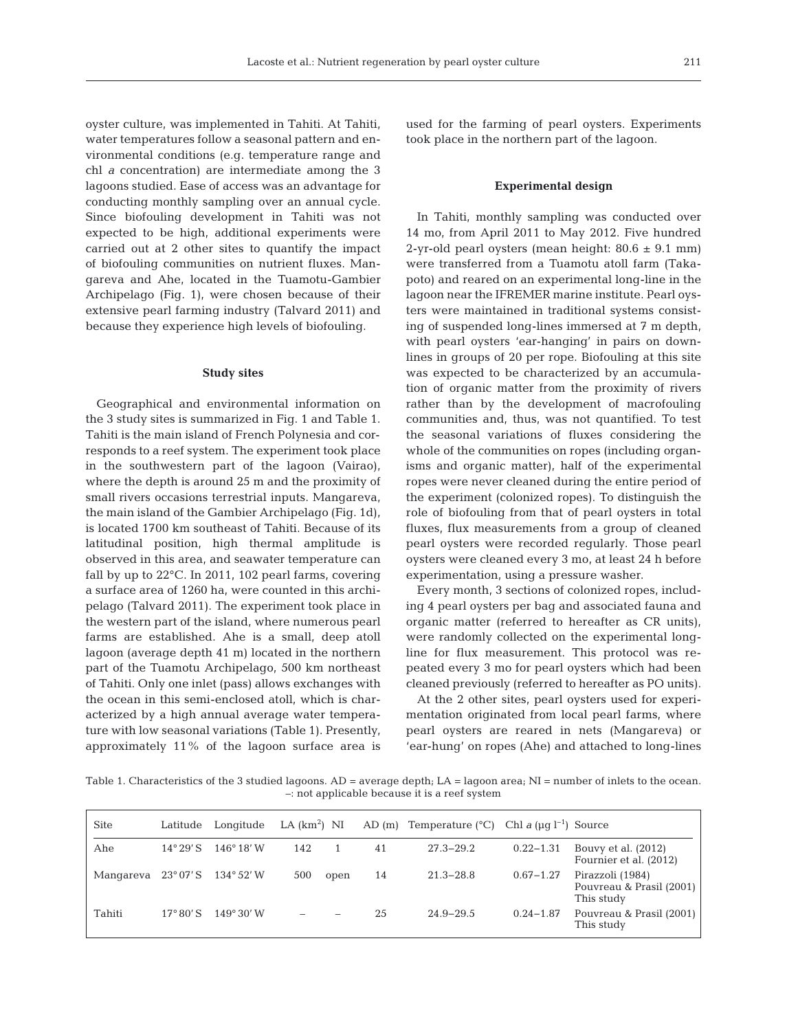oyster culture, was implemented in Tahiti. At Tahiti, water temperatures follow a seasonal pattern and environmental conditions (e.g. temperature range and chl *a* concentration) are intermediate among the 3 lagoons studied. Ease of access was an advantage for conducting monthly sampling over an annual cycle. Since biofouling development in Tahiti was not expected to be high, additional experiments were carried out at 2 other sites to quantify the impact of biofouling communities on nutrient fluxes. Mangareva and Ahe, located in the Tuamotu-Gambier Archipelago (Fig. 1), were chosen because of their extensive pearl farming industry (Talvard 2011) and because they experience high levels of biofouling.

#### **Study sites**

Geographical and environmental information on the 3 study sites is summarized in Fig. 1 and Table 1. Tahiti is the main island of French Polynesia and corresponds to a reef system. The experiment took place in the southwestern part of the lagoon (Vairao), where the depth is around 25 m and the proximity of small rivers occasions terrestrial inputs. Mangareva, the main island of the Gambier Archipelago (Fig. 1d), is located 1700 km southeast of Tahiti. Because of its latitudinal position, high thermal amplitude is observed in this area, and seawater temperature can fall by up to 22°C. In 2011, 102 pearl farms, covering a surface area of 1260 ha, were counted in this archipelago (Talvard 2011). The experiment took place in the western part of the island, where numerous pearl farms are established. Ahe is a small, deep atoll lagoon (average depth 41 m) located in the northern part of the Tuamotu Archipelago, 500 km northeast of Tahiti. Only one inlet (pass) allows exchanges with the ocean in this semi-enclosed atoll, which is characterized by a high annual average water temperature with low seasonal variations (Table 1). Presently, approximately 11% of the lagoon surface area is

used for the farming of pearl oysters. Experiments took place in the northern part of the lagoon.

#### **Experimental design**

In Tahiti, monthly sampling was conducted over 14 mo, from April 2011 to May 2012. Five hundred 2-yr-old pearl oysters (mean height:  $80.6 \pm 9.1$  mm) were transferred from a Tuamotu atoll farm (Takapoto) and reared on an experimental long-line in the lagoon near the IFREMER marine institute. Pearl oysters were maintained in traditional systems consisting of suspended long-lines immersed at 7 m depth, with pearl oysters 'ear-hanging' in pairs on downlines in groups of 20 per rope. Biofouling at this site was expected to be characterized by an accumulation of organic matter from the proximity of rivers rather than by the development of macrofouling communities and, thus, was not quantified. To test the seasonal variations of fluxes considering the whole of the communities on ropes (including organisms and organic matter), half of the experimental ropes were never cleaned during the entire period of the experiment (colonized ropes). To distinguish the role of biofouling from that of pearl oysters in total fluxes, flux measurements from a group of cleaned pearl oysters were recorded regularly. Those pearl oysters were cleaned every 3 mo, at least 24 h before experimentation, using a pressure washer.

Every month, 3 sections of colonized ropes, including 4 pearl oysters per bag and associated fauna and organic matter (referred to hereafter as CR units), were randomly collected on the experimental longline for flux measurement. This protocol was repeated every 3 mo for pearl oysters which had been cleaned previously (referred to hereafter as PO units).

At the 2 other sites, pearl oysters used for experimentation originated from local pearl farms, where pearl oysters are reared in nets (Mangareva) or 'ear-hung' on ropes (Ahe) and attached to long-lines

Table 1. Characteristics of the 3 studied lagoons.  $AD =$  average depth;  $LA =$  lagoon area;  $NI =$  number of inlets to the ocean. –: not applicable because it is a reef system

| <b>Site</b> | Latitude           | Longitude           | LA $(km^2)$ NI |      |    | AD $(m)$ Temperature $(^{\circ}C)$ | Chl a ( $\mu q$ l <sup>-1</sup> ) Source |                                                            |
|-------------|--------------------|---------------------|----------------|------|----|------------------------------------|------------------------------------------|------------------------------------------------------------|
| Ahe         | $14^{\circ} 29'$ S | $146^{\circ} 18' W$ | 142            |      | 41 | $27.3 - 29.2$                      | $0.22 - 1.31$                            | Bouvy et al. (2012)<br>Fournier et al. (2012)              |
| Mangareva   | $23^{\circ}07'S$   | $134^{\circ}52'$ W  | 500            | open | 14 | $21.3 - 28.8$                      | $0.67 - 1.27$                            | Pirazzoli (1984)<br>Pouvreau & Prasil (2001)<br>This study |
| Tahiti      | $17^{\circ} 80'$ S | $149^{\circ}30'$ W  |                |      | 25 | $24.9 - 29.5$                      | $0.24 - 1.87$                            | Pouvreau & Prasil (2001)<br>This study                     |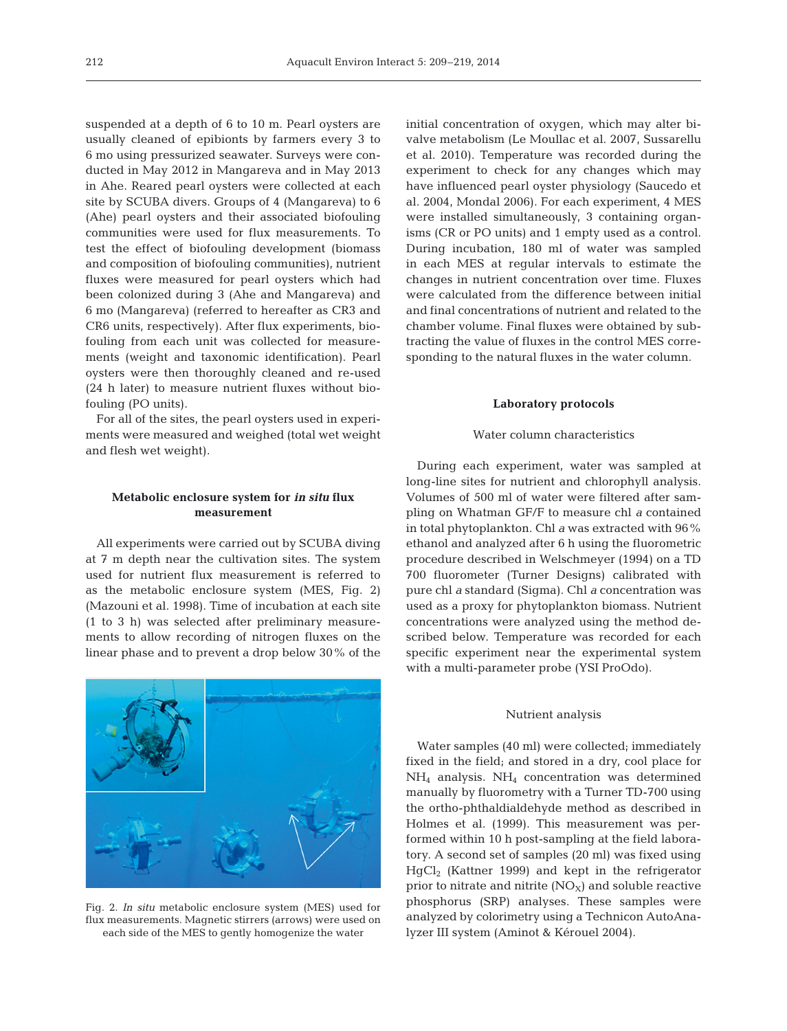suspended at a depth of 6 to 10 m. Pearl oysters are usually cleaned of epibionts by farmers every 3 to 6 mo using pressurized seawater. Surveys were conducted in May 2012 in Mangareva and in May 2013 in Ahe. Reared pearl oysters were collected at each site by SCUBA divers. Groups of 4 (Mangareva) to 6 (Ahe) pearl oysters and their associated biofouling communities were used for flux measurements. To test the effect of biofouling development (biomass and composition of biofouling communities), nutrient fluxes were measured for pearl oysters which had been colonized during 3 (Ahe and Mangareva) and 6 mo (Mangareva) (referred to hereafter as CR3 and CR6 units, respectively). After flux experiments, biofouling from each unit was collected for measurements (weight and taxonomic identification). Pearl oysters were then thoroughly cleaned and re-used (24 h later) to measure nutrient fluxes without biofouling (PO units).

For all of the sites, the pearl oysters used in experiments were measured and weighed (total wet weight and flesh wet weight).

## **Metabolic enclosure system for** *in situ* **flux measurement**

All experiments were carried out by SCUBA diving at 7 m depth near the cultivation sites. The system used for nutrient flux measurement is referred to as the metabolic enclosure system (MES, Fig. 2) (Mazouni et al. 1998). Time of incubation at each site (1 to 3 h) was selected after preliminary measurements to allow recording of nitrogen fluxes on the linear phase and to prevent a drop below 30% of the



Fig. 2. *In situ* metabolic enclosure system (MES) used for flux measurements. Magnetic stirrers (arrows) were used on each side of the MES to gently homogenize the water

initial concentration of oxygen, which may alter bivalve metabolism (Le Moullac et al. 2007, Sussarellu et al. 2010). Temperature was recorded during the experiment to check for any changes which may have influenced pearl oyster physiology (Saucedo et al. 2004, Mondal 2006). For each experiment, 4 MES were installed simultaneously, 3 containing organisms (CR or PO units) and 1 empty used as a control. During incubation, 180 ml of water was sampled in each MES at regular intervals to estimate the changes in nutrient concentration over time. Fluxes were calculated from the difference between initial and final concentrations of nutrient and related to the chamber volume. Final fluxes were obtained by subtracting the value of fluxes in the control MES corresponding to the natural fluxes in the water column.

#### **Laboratory protocols**

## Water column characteristics

During each experiment, water was sampled at long-line sites for nutrient and chlorophyll analysis. Volumes of 500 ml of water were filtered after sampling on Whatman GF/F to measure chl *a* contained in total phytoplankton. Chl *a* was extracted with 96% ethanol and analyzed after 6 h using the fluorometric procedure described in Welschmeyer (1994) on a TD 700 fluorometer (Turner Designs) calibrated with pure chl *a* standard (Sigma). Chl *a* concentration was used as a proxy for phytoplankton biomass. Nutrient concentrations were analyzed using the method de scribed below. Temperature was recorded for each specific experiment near the experimental system with a multi-parameter probe (YSI ProOdo).

#### Nutrient analysis

Water samples (40 ml) were collected; immediately fixed in the field; and stored in a dry, cool place for  $NH<sub>4</sub>$  analysis.  $NH<sub>4</sub>$  concentration was determined manually by fluorometry with a Turner TD-700 using the ortho-phthaldialdehyde method as described in Holmes et al. (1999). This measurement was performed within 10 h post-sampling at the field laboratory. A second set of samples (20 ml) was fixed using HgCl2 (Kattner 1999) and kept in the refrigerator prior to nitrate and nitrite  $(NO<sub>X</sub>)$  and soluble reactive phosphorus (SRP) analyses. These samples were analyzed by colorimetry using a Technicon AutoAnalyzer III system (Aminot & Kérouel 2004).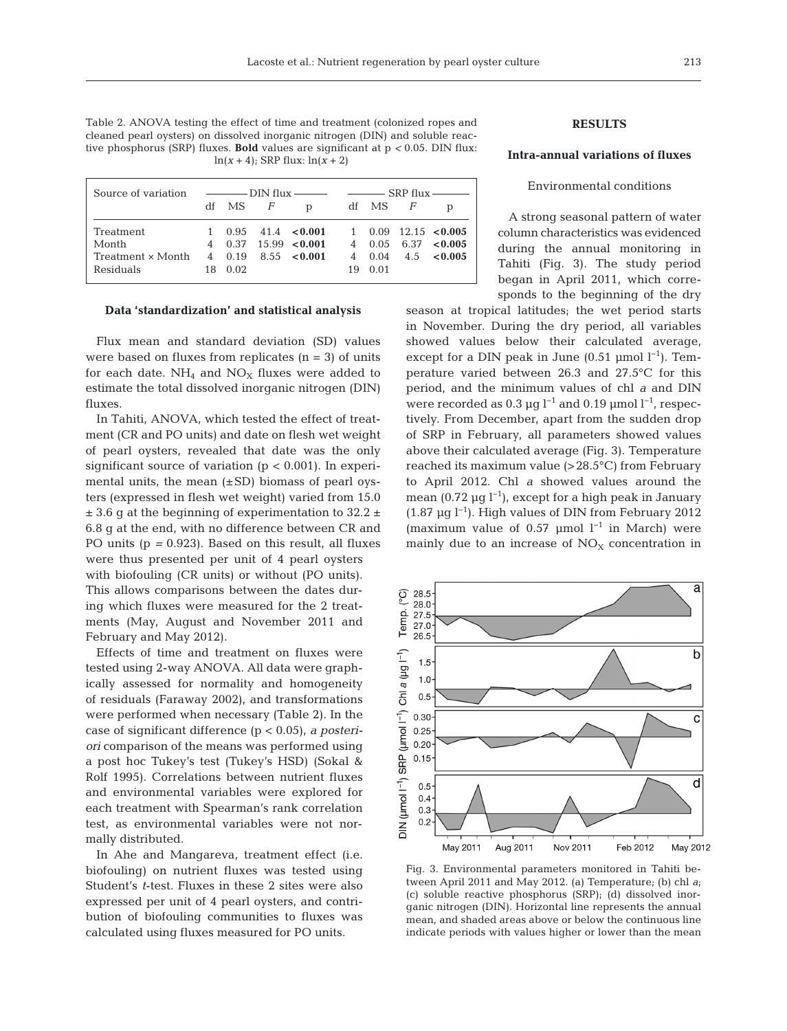Table 2. ANOVA testing the effect of time and treatment (colonized ropes and cleaned pearl oysters) on dissolved inorganic nitrogen (DIN) and soluble reactive phosphorus (SRP) fluxes. **Bold** values are significant at p *<* 0.05. DIN flux:  $ln(x+4)$ ; SRP flux:  $ln(x+2)$ 

| Source of variation | $\frac{1}{\sqrt{1-\frac{1}{2}}}\frac{1}{\sqrt{1-\frac{1}{2}}}\frac{1}{\sqrt{1-\frac{1}{2}}}\frac{1}{\sqrt{1-\frac{1}{2}}}\frac{1}{\sqrt{1-\frac{1}{2}}}\frac{1}{\sqrt{1-\frac{1}{2}}}\frac{1}{\sqrt{1-\frac{1}{2}}}\frac{1}{\sqrt{1-\frac{1}{2}}}\frac{1}{\sqrt{1-\frac{1}{2}}}\frac{1}{\sqrt{1-\frac{1}{2}}}\frac{1}{\sqrt{1-\frac{1}{2}}}\frac{1}{\sqrt{1-\frac{1}{2}}}\frac{1}{\sqrt{1-\frac{1}{2}}}\frac{1}{\sqrt{1-\frac{$ |           |  |                                            |    | $SRP$ flux $\longrightarrow$ |  |                      |  |
|---------------------|---------------------------------------------------------------------------------------------------------------------------------------------------------------------------------------------------------------------------------------------------------------------------------------------------------------------------------------------------------------------------------------------------------------------------------|-----------|--|--------------------------------------------|----|------------------------------|--|----------------------|--|
|                     |                                                                                                                                                                                                                                                                                                                                                                                                                                 | df MS $F$ |  | $\mathbf{D}$                               | df | MS F                         |  |                      |  |
| Treatment           | $\mathbf{1}$                                                                                                                                                                                                                                                                                                                                                                                                                    |           |  | $0.95$ 41.4 < 0.001 1 0.09 12.15 < 0.005   |    |                              |  |                      |  |
| Month               |                                                                                                                                                                                                                                                                                                                                                                                                                                 |           |  | 4 $0.37$ 15.99 < 0.001 4 0.05 6.37 < 0.005 |    |                              |  |                      |  |
| Treatment x Month   |                                                                                                                                                                                                                                                                                                                                                                                                                                 | 4 0.19    |  | $8.55 \le 0.001$                           |    |                              |  | 4 $0.04$ 4.5 < 0.005 |  |
| Residuals           | 18.                                                                                                                                                                                                                                                                                                                                                                                                                             | 0.02      |  |                                            | 19 | 0.01                         |  |                      |  |

#### **Data 'standardization' and statistical analysis**

Flux mean and standard deviation (SD) values were based on fluxes from replicates  $(n = 3)$  of units for each date.  $NH_4$  and  $NO<sub>X</sub>$  fluxes were added to estimate the total dissolved inorganic nitrogen (DIN) fluxes.

In Tahiti, ANOVA, which tested the effect of treatment (CR and PO units) and date on flesh wet weight of pearl oysters, revealed that date was the only significant source of variation  $(p < 0.001)$ . In experimental units, the mean  $(\pm SD)$  biomass of pearl oysters (expressed in flesh wet weight) varied from 15.0  $± 3.6$  g at the beginning of experimentation to 32.2  $±$ 6.8 g at the end, with no difference between CR and PO units (p *=* 0.923). Based on this result, all fluxes were thus presented per unit of 4 pearl oysters with biofouling (CR units) or without (PO units). This allows comparisons between the dates during which fluxes were measured for the 2 treatments (May, August and November 2011 and February and May 2012).

Effects of time and treatment on fluxes were tested using 2-way ANOVA. All data were graphically assessed for normality and homogeneity of residuals (Faraway 2002), and transformations were performed when necessary (Table 2). In the case of significant difference (p < 0.05), *a posteriori* comparison of the means was performed using a post hoc Tukey's test (Tukey's HSD) (Sokal & Rolf 1995). Correlations between nutrient fluxes and environmental variables were explored for each treatment with Spearman's rank correlation test, as environmental variables were not normally distributed.

In Ahe and Mangareva, treatment effect (i.e. biofouling) on nutrient fluxes was tested using Student's *t*-test. Fluxes in these 2 sites were also expressed per unit of 4 pearl oysters, and contribution of biofouling communities to fluxes was calculated using fluxes measured for PO units.

# **RESULTS**

## **Intra-annual variations of fluxes**

## Environmental conditions

A strong seasonal pattern of water column characteristics was evidenced during the annual monitoring in Tahiti (Fig. 3). The study period began in April 2011, which corresponds to the beginning of the dry

season at tropical latitudes; the wet period starts in November. During the dry period, all variables showed values below their calculated average, except for a DIN peak in June  $(0.51 \text{ \mu mol } l^{-1})$ . Temperature varied between 26.3 and 27.5°C for this period, and the minimum values of chl *a* and DIN were recorded as 0.3 µg  $l^{-1}$  and 0.19 µmol  $l^{-1}$ , respectively. From December, apart from the sudden drop of SRP in February, all parameters showed values above their calculated average (Fig. 3). Temperature reached its maximum value (>28.5°C) from February to April 2012. Chl *a* showed values around the mean (0.72 µg l−1), except for a high peak in January (1.87 µg l−1). High values of DIN from February 2012 (maximum value of 0.57 µmol  $l^{-1}$  in March) were mainly due to an increase of  $NO<sub>X</sub>$  concentration in



Fig. 3. Environmental parameters monitored in Tahiti between April 2011 and May 2012. (a) Temperature; (b) chl *a*; (c) soluble reactive phosphorus (SRP); (d) dissolved inorganic nitrogen (DIN). Horizontal line represents the annual mean, and shaded areas above or below the continuous line indicate periods with values higher or lower than the mean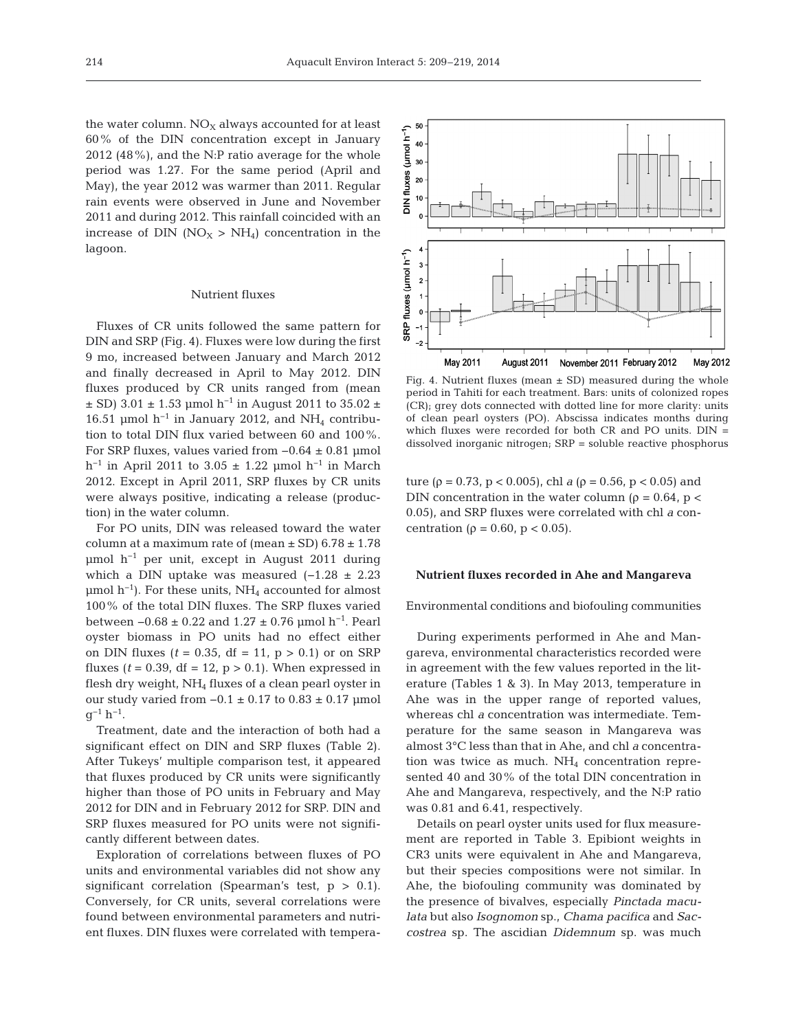the water column.  $NO<sub>x</sub>$  always accounted for at least 60% of the DIN concentration except in January 2012 (48%), and the N:P ratio average for the whole period was 1.27. For the same period (April and May), the year 2012 was warmer than 2011. Regular rain events were observed in June and November 2011 and during 2012. This rainfall coincided with an increase of DIN ( $NO_X > NH_4$ ) concentration in the lagoon.

## Nutrient fluxes

Fluxes of CR units followed the same pattern for DIN and SRP (Fig. 4). Fluxes were low during the first 9 mo, increased between January and March 2012 and finally decreased in April to May 2012. DIN fluxes produced by CR units ranged from (mean  $\pm$  SD) 3.01  $\pm$  1.53 µmol h<sup>-1</sup> in August 2011 to 35.02  $\pm$ 16.51 µmol  $h^{-1}$  in January 2012, and NH<sub>4</sub> contribution to total DIN flux varied between 60 and 100%. For SRP fluxes, values varied from −0.64 ± 0.81 µmol h<sup>-1</sup> in April 2011 to 3.05 ± 1.22 µmol h<sup>-1</sup> in March 2012. Except in April 2011, SRP fluxes by CR units were always positive, indicating a release (production) in the water column.

For PO units, DIN was released toward the water column at a maximum rate of (mean  $\pm$  SD) 6.78  $\pm$  1.78 µmol h<sup>-1</sup> per unit, except in August 2011 during which a DIN uptake was measured  $(-1.28 \pm 2.23)$ µmol  $h^{-1}$ ). For these units, NH<sub>4</sub> accounted for almost 100% of the total DIN fluxes. The SRP fluxes varied between  $-0.68 \pm 0.22$  and  $1.27 \pm 0.76$  µmol h<sup>-1</sup>. Pearl oyster biomass in PO units had no effect either on DIN fluxes ( $t = 0.35$ , df = 11,  $p > 0.1$ ) or on SRP fluxes ( $t = 0.39$ , df = 12,  $p > 0.1$ ). When expressed in flesh dry weight, NH<sub>4</sub> fluxes of a clean pearl oyster in our study varied from  $-0.1 \pm 0.17$  to  $0.83 \pm 0.17$  µmol  $q^{-1} h^{-1}$ .

Treatment, date and the interaction of both had a significant effect on DIN and SRP fluxes (Table 2). After Tukeys' multiple comparison test, it appeared that fluxes produced by CR units were significantly higher than those of PO units in February and May 2012 for DIN and in February 2012 for SRP. DIN and SRP fluxes measured for PO units were not significantly different between dates.

Exploration of correlations between fluxes of PO units and environmental variables did not show any significant correlation (Spearman's test,  $p > 0.1$ ). Conversely, for CR units, several correlations were found between environmental parameters and nutrient fluxes. DIN fluxes were correlated with tempera-

DIN fluxes ( $\mu$ mol h<sup>-1</sup>)<br>
b  $\frac{3}{5}$   $\frac{8}{5}$   $\frac{8}{5}$   $\frac{8}{5}$ SRP fluxes (µmol h<sup>-1</sup>)  $\overline{\mathbf{3}}$  $\overline{\mathbf{c}}$  $\overline{1}$  $\mathbf{o}$ May 2011 August 2011 November 2011 February 2012 May 2012

Fig. 4. Nutrient fluxes (mean  $\pm$  SD) measured during the whole period in Tahiti for each treatment. Bars: units of colonized ropes (CR); grey dots connected with dotted line for more clarity: units of clean pearl oysters (PO). Abscissa indicates months during which fluxes were recorded for both CR and PO units. DIN = dissolved inorganic nitrogen; SRP = soluble reactive phosphorus

ture ( $\rho = 0.73$ ,  $p < 0.005$ ), chl *a* ( $\rho = 0.56$ ,  $p < 0.05$ ) and DIN concentration in the water column ( $\rho = 0.64$ ,  $p <$ 0.05), and SRP fluxes were correlated with chl *a* concentration ( $ρ = 0.60$ ,  $p < 0.05$ ).

#### **Nutrient fluxes recorded in Ahe and Mangareva**

Environmental conditions and biofouling communities

During experiments performed in Ahe and Mangareva, environmental characteristics recorded were in agreement with the few values reported in the literature (Tables 1 & 3). In May 2013, temperature in Ahe was in the upper range of reported values, whereas chl *a* concentration was intermediate. Temperature for the same season in Mangareva was almost 3°C less than that in Ahe, and chl *a* concentration was twice as much.  $NH<sub>4</sub>$  concentration represented 40 and 30% of the total DIN concentration in Ahe and Mangareva, respectively, and the N:P ratio was 0.81 and 6.41, respectively.

Details on pearl oyster units used for flux measurement are reported in Table 3. Epibiont weights in CR3 units were equivalent in Ahe and Mangareva, but their species compositions were not similar. In Ahe, the biofouling community was dominated by the presence of bivalves, especially *Pinctada maculata* but also *Isognomon* sp., *Chama pacifica* and *Saccostrea* sp. The ascidian *Didemnum* sp. was much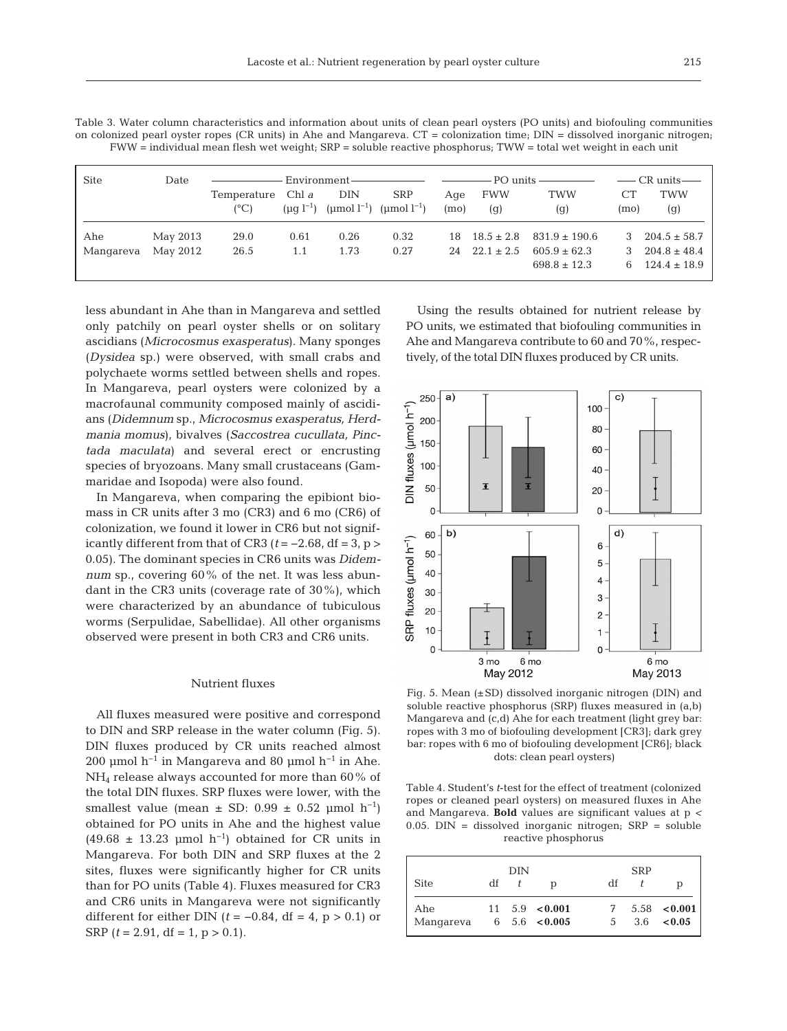215

| <b>Site</b> | Date     |                                    |      |      |                                                                      |             |                         | $\overline{\phantom{m}}$ CR units $\overline{\phantom{m}}$ |            |                   |
|-------------|----------|------------------------------------|------|------|----------------------------------------------------------------------|-------------|-------------------------|------------------------------------------------------------|------------|-------------------|
|             |          | Temperature Chl a<br>$(^{\circ}C)$ |      | DIN  | <b>SRP</b><br>$(\mu q l^{-1})$ $(\mu mol l^{-1})$ $(\mu mol l^{-1})$ | Age<br>(mo) | <b>FWW</b><br>(q)       | <b>TWW</b><br>(q)                                          | СT<br>(mo) | <b>TWW</b><br>(g) |
| Ahe         | May 2013 | 29.0                               | 0.61 | 0.26 | 0.32                                                                 |             |                         | $18 \quad 18.5 \pm 2.8 \quad 831.9 \pm 190.6$              | 3          | $204.5 \pm 58.7$  |
| Mangareva   | May 2012 | 26.5                               | 1.1  | 1.73 | 0.27                                                                 |             | $24 \quad 22.1 \pm 2.5$ | $605.9 \pm 62.3$                                           | 3          | $204.8 \pm 48.4$  |
|             |          |                                    |      |      |                                                                      |             |                         | $698.8 \pm 12.3$                                           | 6.         | $124.4 \pm 18.9$  |

Table 3. Water column characteristics and information about units of clean pearl oysters (PO units) and biofouling communities on colonized pearl oyster ropes (CR units) in Ahe and Mangareva.  $CT =$  colonization time;  $DIN =$  dissolved inorganic nitrogen; FWW = individual mean flesh wet weight; SRP = soluble reactive phosphorus; TWW = total wet weight in each unit

less abundant in Ahe than in Mangareva and settled only patchily on pearl oyster shells or on solitary ascidians (*Microcosmus exasperatus*). Many sponges (*Dysidea* sp.) were observed, with small crabs and polychaete worms settled between shells and ropes. In Mangareva, pearl oysters were colonized by a macrofaunal community composed mainly of ascidians (*Didemnum* sp., *Microcosmus exasperatus, Herd mania momus*), bivalves (*Saccostrea cucullata, Pinctada maculata*) and several erect or encrusting species of bryozoans. Many small crustaceans (Gammaridae and Isopoda) were also found.

In Mangareva, when comparing the epibiont biomass in CR units after 3 mo (CR3) and 6 mo (CR6) of colonization, we found it lower in CR6 but not significantly different from that of CR3 ( $t = -2.68$ , df = 3, p > 0.05). The dominant species in CR6 units was *Didemnum* sp., covering 60% of the net. It was less abundant in the CR3 units (coverage rate of 30%), which were characterized by an abundance of tubiculous worms (Serpulidae, Sabellidae). All other organisms observed were present in both CR3 and CR6 units.

## Nutrient fluxes

All fluxes measured were positive and correspond to DIN and SRP release in the water column (Fig. 5). DIN fluxes produced by CR units reached almost 200 µmol h<sup>-1</sup> in Mangareva and 80 µmol h<sup>-1</sup> in Ahe. NH<sub>4</sub> release always accounted for more than 60% of the total DIN fluxes. SRP fluxes were lower, with the smallest value (mean  $\pm$  SD: 0.99  $\pm$  0.52 µmol h<sup>-1</sup>) obtained for PO units in Ahe and the highest value (49.68 ± 13.23 µmol  $h^{-1}$ ) obtained for CR units in Mangareva. For both DIN and SRP fluxes at the 2 sites, fluxes were significantly higher for CR units than for PO units (Table 4). Fluxes measured for CR3 and CR6 units in Mangareva were not significantly different for either DIN ( $t = -0.84$ , df = 4, p > 0.1) or SRP  $(t = 2.91, df = 1, p > 0.1)$ .

Using the results obtained for nutrient release by PO units, we estimated that biofouling communities in Ahe and Mangareva contribute to 60 and 70%, respectively, of the total DIN fluxes produced by CR units.



Fig. 5. Mean (±SD) dissolved inorganic nitrogen (DIN) and soluble reactive phosphorus (SRP) fluxes measured in (a,b) Mangareva and (c,d) Ahe for each treatment (light grey bar: ropes with 3 mo of biofouling development [CR3]; dark grey bar: ropes with 6 mo of biofouling development [CR6]; black dots: clean pearl oysters)

Table 4. Student's *t*-test for the effect of treatment (colonized ropes or cleaned pearl oysters) on measured fluxes in Ahe and Mangareva. **Bold** values are significant values at p *<* 0.05. DIN = dissolved inorganic nitrogen; SRP = soluble reactive phosphorus

|                  |    | DIN |                                                       |         |  |                                  |
|------------------|----|-----|-------------------------------------------------------|---------|--|----------------------------------|
| <b>Site</b>      | df |     | D                                                     | df      |  | р                                |
| Ahe<br>Mangareva |    |     | $11 \quad 5.9 \quad 0.001$<br>$6\quad 5.6\quad 6.005$ | 7<br>.5 |  | 5.58 < 0.001<br>$3.6 \quad 0.05$ |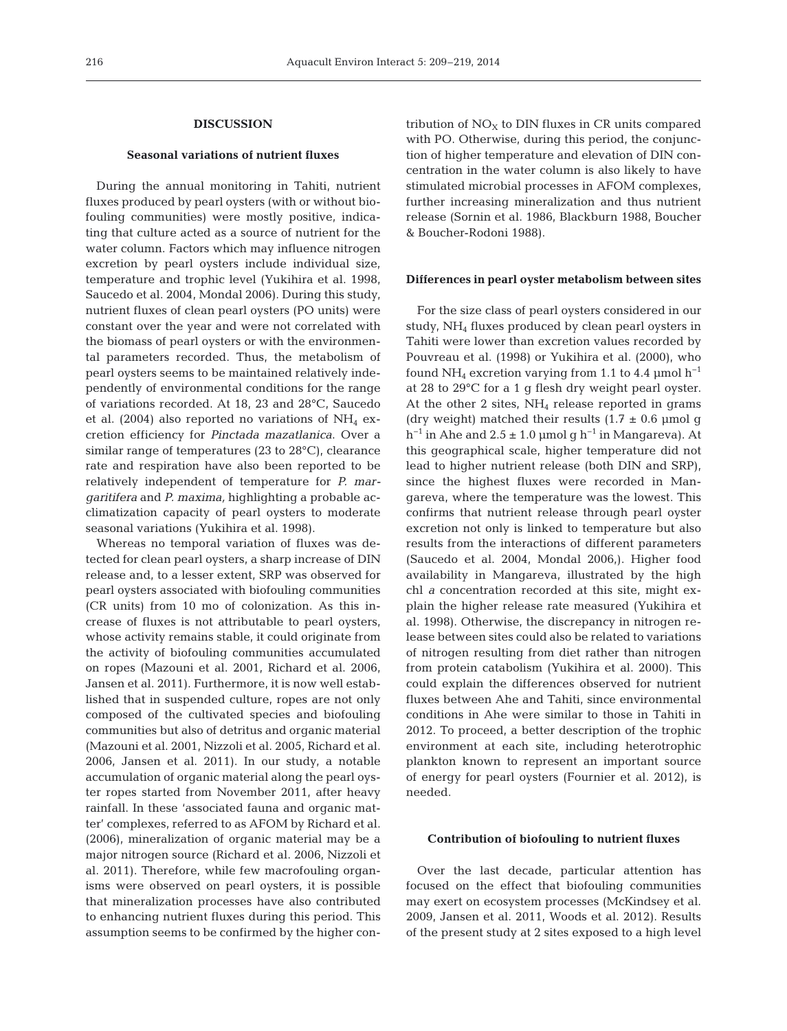## **DISCUSSION**

## **Seasonal variations of nutrient fluxes**

During the annual monitoring in Tahiti, nutrient fluxes produced by pearl oysters (with or without biofouling communities) were mostly positive, indicating that culture acted as a source of nutrient for the water column. Factors which may influence nitrogen excretion by pearl oysters include individual size, temperature and trophic level (Yukihira et al. 1998, Saucedo et al. 2004, Mondal 2006). During this study, nutrient fluxes of clean pearl oysters (PO units) were constant over the year and were not correlated with the biomass of pearl oysters or with the environmental parameters recorded. Thus, the metabolism of pearl oysters seems to be maintained relatively independently of environmental conditions for the range of variations recorded. At 18, 23 and 28°C, Saucedo et al. (2004) also reported no variations of  $NH<sub>4</sub>$  excretion efficiency for *Pinctada mazatlanica*. Over a similar range of temperatures (23 to 28°C), clearance rate and respiration have also been reported to be relatively independent of temperature for *P. mar garitifera* and *P. maxima,* highlighting a probable ac climatization capacity of pearl oysters to moderate seasonal variations (Yukihira et al. 1998).

Whereas no temporal variation of fluxes was detected for clean pearl oysters, a sharp increase of DIN release and, to a lesser extent, SRP was observed for pearl oysters associated with biofouling communities (CR units) from 10 mo of colonization. As this in crease of fluxes is not attributable to pearl oysters, whose activity remains stable, it could originate from the activity of biofouling communities accumulated on ropes (Mazouni et al. 2001, Richard et al. 2006, Jansen et al. 2011). Furthermore, it is now well established that in suspended culture, ropes are not only composed of the cultivated species and biofouling communities but also of detritus and organic material (Mazouni et al. 2001, Nizzoli et al. 2005, Richard et al. 2006, Jansen et al. 2011). In our study, a notable accumulation of organic material along the pearl oyster ropes started from November 2011, after heavy rainfall. In these 'associated fauna and organic matter' complexes, referred to as AFOM by Richard et al. (2006), mineralization of organic material may be a major nitrogen source (Richard et al. 2006, Nizzoli et al. 2011). Therefore, while few macrofouling organisms were observed on pearl oysters, it is possible that mineralization processes have also contributed to enhancing nutrient fluxes during this period. This assumption seems to be confirmed by the higher contribution of  $NO<sub>X</sub>$  to DIN fluxes in CR units compared with PO. Otherwise, during this period, the conjunction of higher temperature and elevation of DIN concentration in the water column is also likely to have stimulated microbial processes in AFOM complexes, further increasing mineralization and thus nutrient release (Sornin et al. 1986, Blackburn 1988, Boucher & Boucher-Rodoni 1988).

### **Differences in pearl oyster metabolism between sites**

For the size class of pearl oysters considered in our study, NH4 fluxes produced by clean pearl oysters in Tahiti were lower than excretion values recorded by Pouvreau et al. (1998) or Yukihira et al. (2000), who found NH<sub>4</sub> excretion varying from 1.1 to 4.4 µmol  $h^{-1}$ at 28 to 29°C for a 1 g flesh dry weight pearl oyster. At the other 2 sites,  $NH<sub>4</sub>$  release reported in grams (dry weight) matched their results  $(1.7 \pm 0.6 \text{ \mu mol g})$ h<sup>-1</sup> in Ahe and  $2.5 \pm 1.0$  µmol g h<sup>-1</sup> in Mangareva). At this geographical scale, higher temperature did not lead to higher nutrient release (both DIN and SRP), since the highest fluxes were recorded in Mangareva, where the temperature was the lowest. This confirms that nutrient release through pearl oyster excretion not only is linked to temperature but also results from the interactions of different parameters (Saucedo et al. 2004, Mondal 2006,). Higher food availability in Mangareva, illustrated by the high chl *a* concentration recorded at this site, might explain the higher release rate measured (Yukihira et al. 1998). Otherwise, the discrepancy in nitrogen re lease between sites could also be related to variations of nitrogen resulting from diet rather than nitrogen from protein catabolism (Yukihira et al. 2000). This could explain the differences observed for nutrient fluxes between Ahe and Tahiti, since environmental conditions in Ahe were similar to those in Tahiti in 2012. To proceed, a better description of the trophic environment at each site, including heterotrophic plankton known to represent an important source of energy for pearl oysters (Fournier et al. 2012), is needed.

#### **Contribution of biofouling to nutrient fluxes**

Over the last decade, particular attention has focused on the effect that biofouling communities may exert on ecosystem processes (McKindsey et al. 2009, Jansen et al. 2011, Woods et al. 2012). Results of the present study at 2 sites exposed to a high level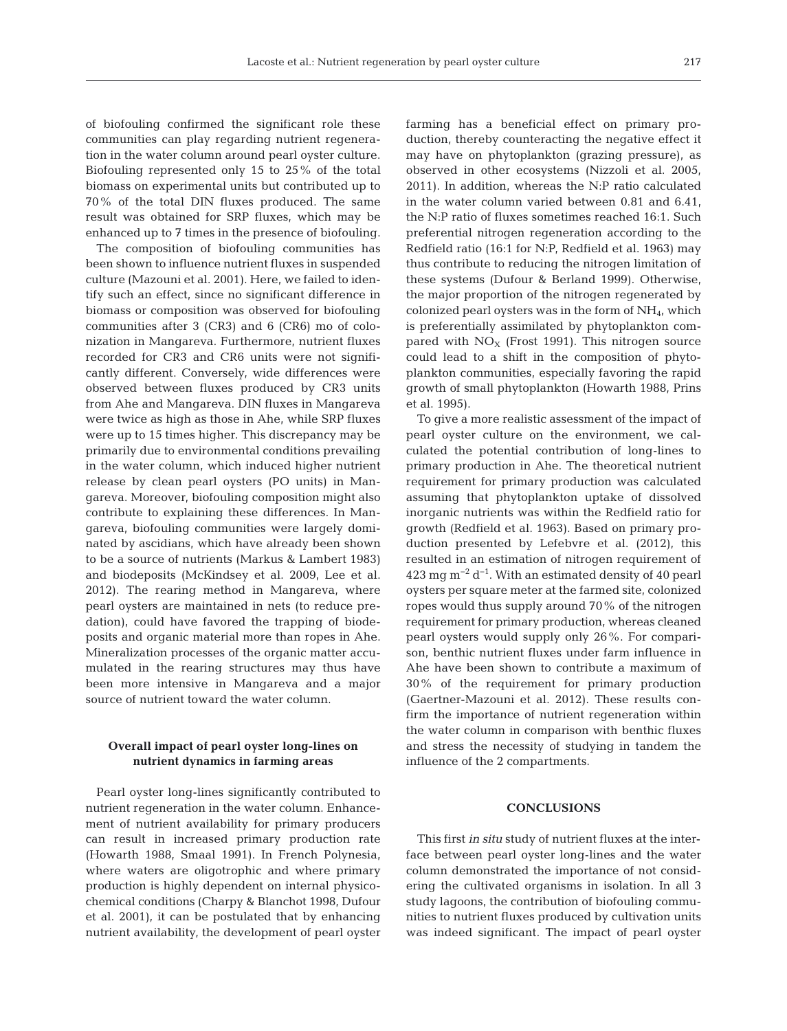of biofouling confirmed the significant role these communities can play regarding nutrient regeneration in the water column around pearl oyster culture. Biofouling represented only 15 to 25% of the total biomass on experimental units but contributed up to 70% of the total DIN fluxes produced. The same result was obtained for SRP fluxes, which may be enhanced up to 7 times in the presence of biofouling.

The composition of biofouling communities has been shown to influence nutrient fluxes in suspended culture (Mazouni et al. 2001). Here, we failed to identify such an effect, since no significant difference in biomass or composition was observed for biofouling communities after 3 (CR3) and 6 (CR6) mo of colonization in Mangareva. Furthermore, nutrient fluxes recorded for CR3 and CR6 units were not significantly different. Conversely, wide differences were observed between fluxes produced by CR3 units from Ahe and Mangareva. DIN fluxes in Mangareva were twice as high as those in Ahe, while SRP fluxes were up to 15 times higher. This discrepancy may be primarily due to environmental conditions prevailing in the water column, which induced higher nutrient release by clean pearl oysters (PO units) in Mangareva. Moreover, biofouling composition might also contribute to explaining these differences. In Mangareva, biofouling communities were largely dominated by ascidians, which have already been shown to be a source of nutrients (Markus & Lambert 1983) and biodeposits (McKindsey et al. 2009, Lee et al. 2012). The rearing method in Mangareva, where pearl oysters are maintained in nets (to reduce predation), could have favored the trapping of biodeposits and organic material more than ropes in Ahe. Mineralization processes of the organic matter accumulated in the rearing structures may thus have been more intensive in Mangareva and a major source of nutrient toward the water column.

# **Overall impact of pearl oyster long-lines on nutrient dynamics in farming areas**

Pearl oyster long-lines significantly contributed to nutrient regeneration in the water column. Enhancement of nutrient availability for primary producers can result in increased primary production rate (Howarth 1988, Smaal 1991). In French Polynesia, where waters are oligotrophic and where primary production is highly dependent on internal physicochemical conditions (Charpy & Blanchot 1998, Dufour et al. 2001), it can be postulated that by enhancing nutrient availability, the development of pearl oyster farming has a beneficial effect on primary production, thereby counteracting the negative effect it may have on phytoplankton (grazing pressure), as observed in other ecosystems (Nizzoli et al. 2005, 2011). In addition, whereas the N:P ratio calculated in the water column varied between 0.81 and 6.41, the N:P ratio of fluxes sometimes reached 16:1. Such preferential nitrogen regeneration according to the Redfield ratio (16:1 for N:P, Redfield et al. 1963) may thus contribute to reducing the nitrogen limitation of these systems (Dufour & Berland 1999). Otherwise, the major proportion of the nitrogen regenerated by colonized pearl oysters was in the form of  $NH<sub>4</sub>$ , which is preferentially assimilated by phytoplankton compared with  $NO<sub>x</sub>$  (Frost 1991). This nitrogen source could lead to a shift in the composition of phytoplankton communities, especially favoring the rapid growth of small phytoplankton (Howarth 1988, Prins et al. 1995).

To give a more realistic assessment of the impact of pearl oyster culture on the environment, we calculated the potential contribution of long-lines to primary production in Ahe. The theoretical nutrient requirement for primary production was calculated assuming that phytoplankton uptake of dissolved inorganic nutrients was within the Redfield ratio for growth (Redfield et al. 1963). Based on primary production presented by Lefebvre et al. (2012), this resulted in an estimation of nitrogen requirement of 423 mg m<sup>-2</sup> d<sup>-1</sup>. With an estimated density of 40 pearl oysters per square meter at the farmed site, colonized ropes would thus supply around 70% of the nitrogen requirement for primary production, whereas cleaned pearl oysters would supply only 26%. For comparison, benthic nutrient fluxes under farm influence in Ahe have been shown to contribute a maximum of 30% of the requirement for primary production (Gaertner-Mazouni et al. 2012). These results confirm the importance of nutrient regeneration within the water column in comparison with benthic fluxes and stress the necessity of studying in tandem the influence of the 2 compartments.

## **CONCLUSIONS**

This first *in situ* study of nutrient fluxes at the interface between pearl oyster long-lines and the water column demonstrated the importance of not considering the cultivated organisms in isolation. In all 3 study lagoons, the contribution of biofouling communities to nutrient fluxes produced by cultivation units was indeed significant. The impact of pearl oyster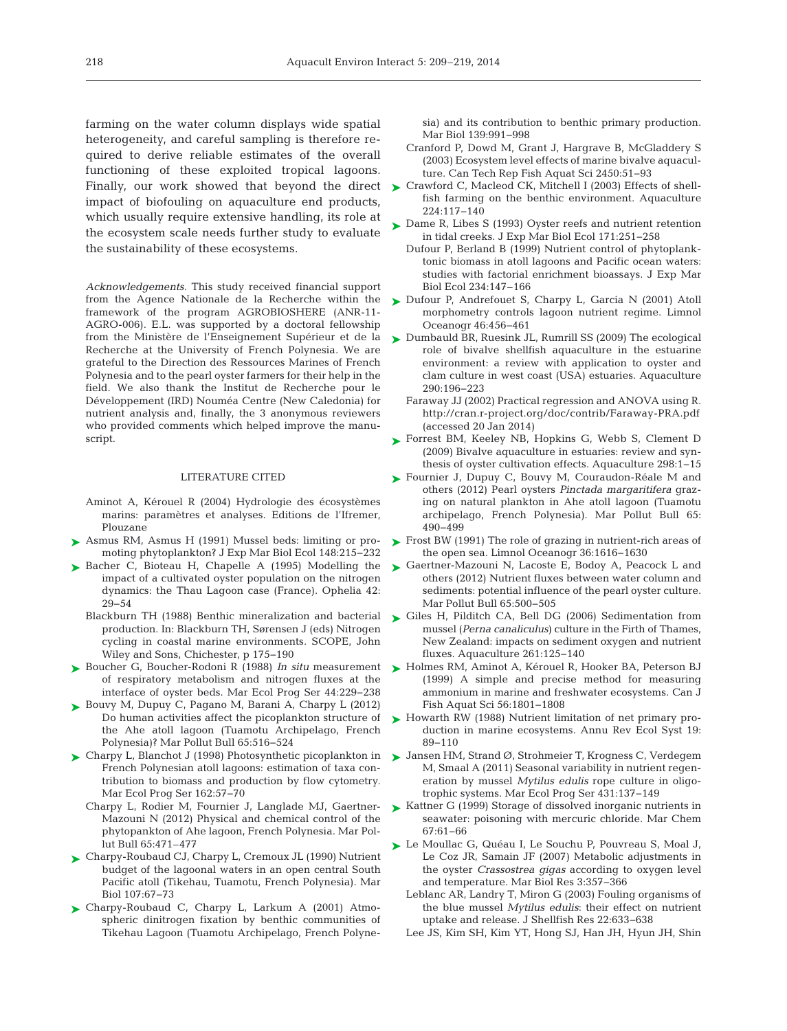farming on the water column displays wide spatial heterogeneity, and careful sampling is therefore required to derive reliable estimates of the overall functioning of these exploited tropical lagoons. Finally, our work showed that beyond the direct impact of biofouling on aquaculture end products, which usually require extensive handling, its role at the ecosystem scale needs further study to evaluate the sustainability of these ecosystems.

*Acknowledgements.* This study received financial support from the Agence Nationale de la Recherche within the framework of the program AGROBIOSHERE (ANR-11- AGRO-006). E.L. was supported by a doctoral fellowship from the Ministère de l'Enseignement Supérieur et de la Recherche at the University of French Polynesia. We are grateful to the Direction des Ressources Marines of French Polynesia and to the pearl oyster farmers for their help in the field. We also thank the Institut de Recherche pour le Développement (IRD) Nouméa Centre (New Caledonia) for nutrient analysis and, finally, the 3 anonymous reviewers who provided comments which helped improve the manuscript.

#### LITERATURE CITED

- Aminot A, Kérouel R (2004) Hydrologie des écosystèmes marins: paramètres et analyses. Editions de l'Ifremer, Plouzane
- ▶ Asmus RM, Asmus H (1991) Mussel beds: limiting or promoting phytoplankton? J Exp Mar Biol Ecol 148:215−232
- ▶ [Bacher C, Bioteau H, Chapelle A \(1995\) Modelling the](http://dx.doi.org/10.1080/00785326.1995.10431496) impact of a cultivated oyster population on the nitrogen dynamics: the Thau Lagoon case (France). Ophelia 42: 29−54
	- Blackburn TH (1988) Benthic mineralization and bacterial production. In:Blackburn TH, Sørensen J (eds) Nitrogen cycling in coastal marine environments. SCOPE, John Wiley and Sons, Chichester, p 175−190
- ► [Boucher G, Boucher-Rodoni R \(1988\)](http://dx.doi.org/10.3354/meps044229) *In situ* measurement of respiratory metabolism and nitrogen fluxes at the interface of oyster beds. Mar Ecol Prog Ser 44: 229−238
- ► [Bouvy M, Dupuy C, Pagano M, Barani A, Charpy L \(2012\)](http://dx.doi.org/10.1016/j.marpolbul.2012.01.008) Do human activities affect the picoplankton structure of the Ahe atoll lagoon (Tuamotu Archipelago, French Polynesia)? Mar Pollut Bull 65:516-524
- ► [Charpy L, Blanchot J \(1998\) Photosynthetic picoplankton in](http://dx.doi.org/10.3354/meps162057) ► [Jansen HM, Strand Ø, Strohmeier T, Krogness C, Verdegem](http://dx.doi.org/10.3354/meps09095) French Polynesian atoll lagoons: estimation of taxa contribution to biomass and production by flow cytometry. Mar Ecol Prog Ser 162:57-70
	- Charpy L, Rodier M, Fournier J, Langlade MJ, Gaertner-Mazouni N (2012) Physical and chemical control of the phytopankton of Ahe lagoon, French Polynesia. Mar Pollut Bull 65:471–477
- ► [Charpy-Roubaud CJ, Charpy L, Cremoux JL \(1990\) Nutrient](http://dx.doi.org/10.1007/BF01313243) budget of the lagoonal waters in an open central South Pacific atoll (Tikehau, Tuamotu, French Polynesia). Mar Biol 107:67-73
- ▶ Charpy-Roubaud C, Charpy L, Larkum A (2001) Atmospheric dinitrogen fixation by benthic communities of Tikehau Lagoon (Tuamotu Archipelago, French Polyne-

sia) and its contribution to benthic primary production. Mar Biol 139:991-998

- Cranford P, Dowd M, Grant J, Hargrave B, McGladdery S (2003) Ecosystem level effects of marine bivalve aquaculture. Can Tech Rep Fish Aquat Sci 2450: 51−93
- ► Crawford C, Macleod CK, Mitchell I (2003) Effects of shell fish farming on the benthic environment. Aquaculture 224: 117−140
- ► [Dame R, Libes S \(1993\) Oyster reefs and nutrient retention](http://dx.doi.org/10.1016/0022-0981(93)90007-B) in tidal creeks. J Exp Mar Biol Ecol 171: 251−258
	- Dufour P, Berland B (1999) Nutrient control of phytoplanktonic biomass in atoll lagoons and Pacific ocean waters: studies with factorial enrichment bioassays. J Exp Mar Biol Ecol 234:147–166
- ► [Dufour P, Andrefouet S, Charpy L, Garcia N \(2001\) Atoll](http://dx.doi.org/10.4319/lo.2001.46.2.0456) morphometry controls lagoon nutrient regime. Limnol Oceanogr 46:456-461
- ► [Dumbauld BR, Ruesink JL, Rumrill SS \(2009\) The ecological](http://dx.doi.org/10.1016/j.aquaculture.2009.02.033) role of bivalve shellfish aquaculture in the estuarine environment: a review with application to oyster and clam culture in west coast (USA) estuaries. Aquaculture 290: 196−223
	- Faraway JJ (2002) Practical regression and ANOVA using R. http: //cran.r-project.org/doc/contrib/Faraway-PRA.pdf (accessed 20 Jan 2014)
- ▶ [Forrest BM, Keeley NB, Hopkins G, Webb S, Clement D](http://dx.doi.org/10.1016/j.aquaculture.2009.09.032) (2009) Bivalve aquaculture in estuaries: review and synthesis of oyster cultivation effects. Aquaculture 298: 1−15
- ► [Fournier J, Dupuy C, Bouvy M, Couraudon-Réale M and](http://dx.doi.org/10.1016/j.marpolbul.2012.03.026) others (2012) Pearl oysters *Pinctada margaritifera* grazing on natural plankton in Ahe atoll lagoon (Tuamotu archipelago, French Polynesia). Mar Pollut Bull 65: 490−499
- ► [Frost BW \(1991\) The role of grazing in nutrient-rich areas of](http://dx.doi.org/10.4319/lo.1991.36.8.1616) the open sea. Limnol Oceanogr 36: 1616−1630
- ► [Gaertner-Mazouni N, Lacoste E, Bodoy A, Peacock L and](http://dx.doi.org/10.1016/j.marpolbul.2012.02.013) others (2012) Nutrient fluxes between water column and sediments: potential influence of the pearl oyster culture. Mar Pollut Bull 65:500-505
- [Giles H, Pilditch CA, Bell DG \(2006\) Sedimentation from](http://dx.doi.org/10.1016/j.aquaculture.2006.06.048) ➤ mussel (*Perna canaliculus*) culture in the Firth of Thames, New Zealand: impacts on sediment oxygen and nutrient fluxes. Aquaculture 261: 125−140
- ► [Holmes RM, Aminot A, Kérouel R, Hooker BA, Peterson BJ](http://dx.doi.org/10.1139/f99-128) (1999) A simple and precise method for measuring ammonium in marine and freshwater ecosystems. Can J Fish Aquat Sci 56: 1801−1808
- ► [Howarth RW \(1988\) Nutrient limitation of net primary pro](http://dx.doi.org/10.1146/annurev.es.19.110188.000513)duction in marine ecosystems. Annu Rev Ecol Syst 19: 89−110
- M, Smaal A (2011) Seasonal variability in nutrient regeneration by mussel *Mytilus edulis* rope culture in oligotrophic systems. Mar Ecol Prog Ser 431: 137−149
- ► [Kattner G \(1999\) Storage of dissolved inorganic nutrients in](http://dx.doi.org/10.1016/S0304-4203(99)00049-3) seawater: poisoning with mercuric chloride. Mar Chem 67: 61−66
- ► [Le Moullac G, Quéau I, Le Souchu P, Pouvreau S, Moal J,](http://dx.doi.org/10.1016/j.ecss.2011.11.013) Le Coz JR, Samain JF (2007) Metabolic adjustments in the oyster *Crassostrea gigas* according to oxygen level [and temperature. Mar Biol Res 3: 357−366](http://dx.doi.org/10.1080/10236249009378759)
	- Leblanc AR, Landry T, Miron G (2003) Fouling organisms of the blue mussel *Mytilus edulis*: their effect on nutrient uptake and release. J Shellfish Res 22: 633−638
	- Lee JS, Kim SH, Kim YT, Hong SJ, Han JH, Hyun JH, Shin